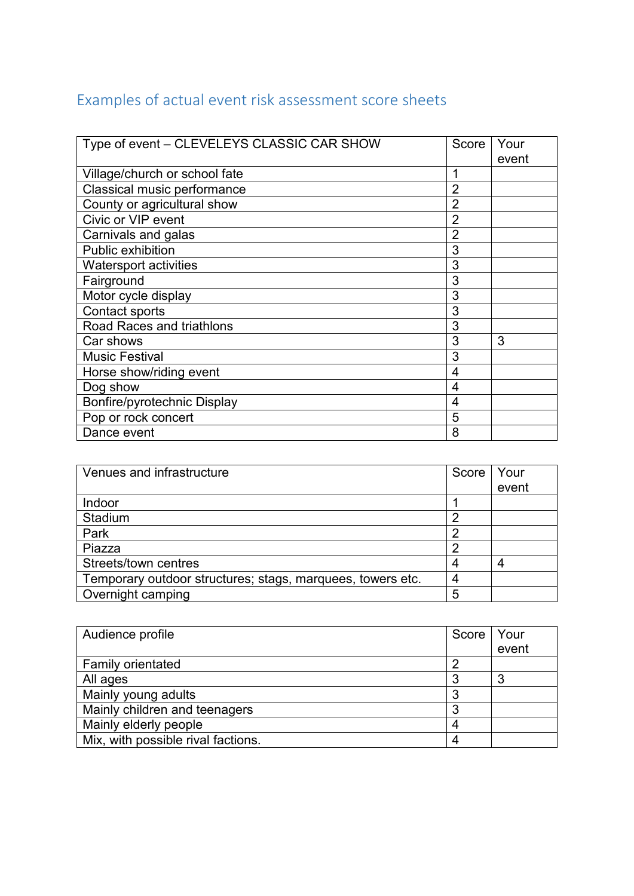## Examples of actual event risk assessment score sheets

| Type of event - CLEVELEYS CLASSIC CAR SHOW | Score          | Your<br>event |
|--------------------------------------------|----------------|---------------|
| Village/church or school fate              |                |               |
| Classical music performance                | $\overline{2}$ |               |
| County or agricultural show                | $\overline{2}$ |               |
| Civic or VIP event                         | $\overline{2}$ |               |
| Carnivals and galas                        | 2              |               |
| Public exhibition                          | 3              |               |
| <b>Watersport activities</b>               | 3              |               |
| Fairground                                 | 3              |               |
| Motor cycle display                        | 3              |               |
| Contact sports                             | 3              |               |
| <b>Road Races and triathlons</b>           | 3              |               |
| Car shows                                  | 3              | 3             |
| <b>Music Festival</b>                      | 3              |               |
| Horse show/riding event                    | 4              |               |
| Dog show                                   | 4              |               |
| Bonfire/pyrotechnic Display                | 4              |               |
| Pop or rock concert                        | 5              |               |
| Dance event                                | 8              |               |

| Venues and infrastructure                                  | Score | Your  |
|------------------------------------------------------------|-------|-------|
|                                                            |       | event |
| Indoor                                                     |       |       |
| Stadium                                                    |       |       |
| Park                                                       |       |       |
| Piazza                                                     |       |       |
| Streets/town centres                                       |       |       |
| Temporary outdoor structures; stags, marquees, towers etc. |       |       |
| Overnight camping                                          | 5     |       |

| Audience profile                   | Score | <b>Your</b> |
|------------------------------------|-------|-------------|
|                                    |       | event       |
| Family orientated                  |       |             |
| All ages                           | っ     | ິ           |
| Mainly young adults                | ິ     |             |
| Mainly children and teenagers      | っ     |             |
| Mainly elderly people              |       |             |
| Mix, with possible rival factions. |       |             |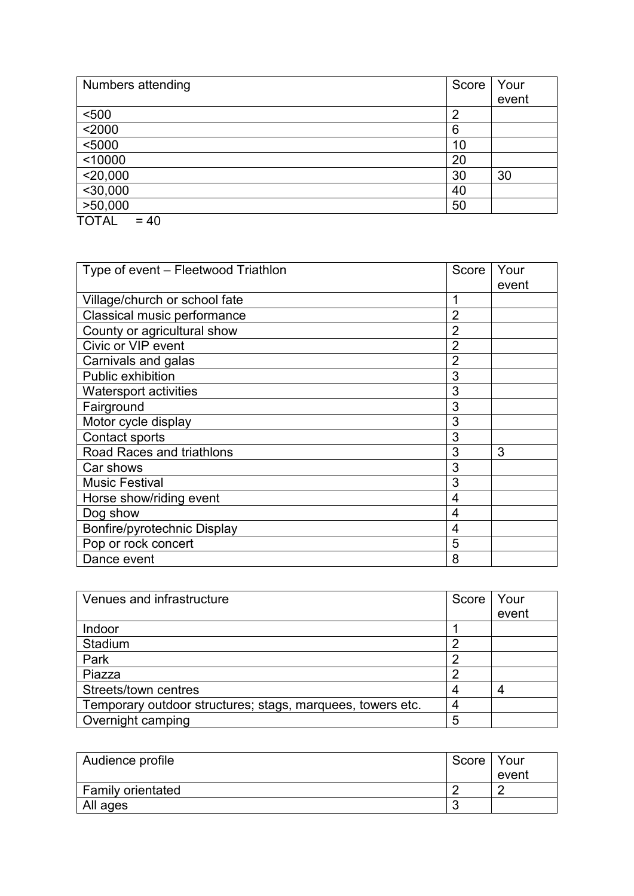| Numbers attending      | Score | Your  |
|------------------------|-------|-------|
|                        |       | event |
| < 500                  | ⌒     |       |
| $2000$                 | 6     |       |
| $5000$                 | 10    |       |
| < 10000                | 20    |       |
| $<$ 20,000             | 30    | 30    |
| $<$ 30,000             | 40    |       |
| >50,000                | 50    |       |
| <b>TOTAL</b><br>$= 40$ |       |       |

| Type of event – Fleetwood Triathlon | Score          | Your  |
|-------------------------------------|----------------|-------|
|                                     |                | event |
| Village/church or school fate       | 1              |       |
| Classical music performance         | 2              |       |
| County or agricultural show         | $\overline{2}$ |       |
| Civic or VIP event                  | $\overline{2}$ |       |
| Carnivals and galas                 | $\overline{2}$ |       |
| <b>Public exhibition</b>            | 3              |       |
| <b>Watersport activities</b>        | 3              |       |
| Fairground                          | 3              |       |
| Motor cycle display                 | 3              |       |
| Contact sports                      | 3              |       |
| <b>Road Races and triathlons</b>    | 3              | 3     |
| Car shows                           | 3              |       |
| <b>Music Festival</b>               | 3              |       |
| Horse show/riding event             | 4              |       |
| Dog show                            | 4              |       |
| Bonfire/pyrotechnic Display         | 4              |       |
| Pop or rock concert                 | 5              |       |
| Dance event                         | 8              |       |

| Venues and infrastructure                                  | Score | Your  |
|------------------------------------------------------------|-------|-------|
|                                                            |       | event |
| Indoor                                                     |       |       |
| Stadium                                                    |       |       |
| Park                                                       | റ     |       |
| Piazza                                                     | റ     |       |
| Streets/town centres                                       |       |       |
| Temporary outdoor structures; stags, marquees, towers etc. |       |       |
| Overnight camping                                          | 5     |       |

| Audience profile         | Score   Your |       |
|--------------------------|--------------|-------|
|                          |              | event |
| <b>Family orientated</b> |              |       |
| All ages                 |              |       |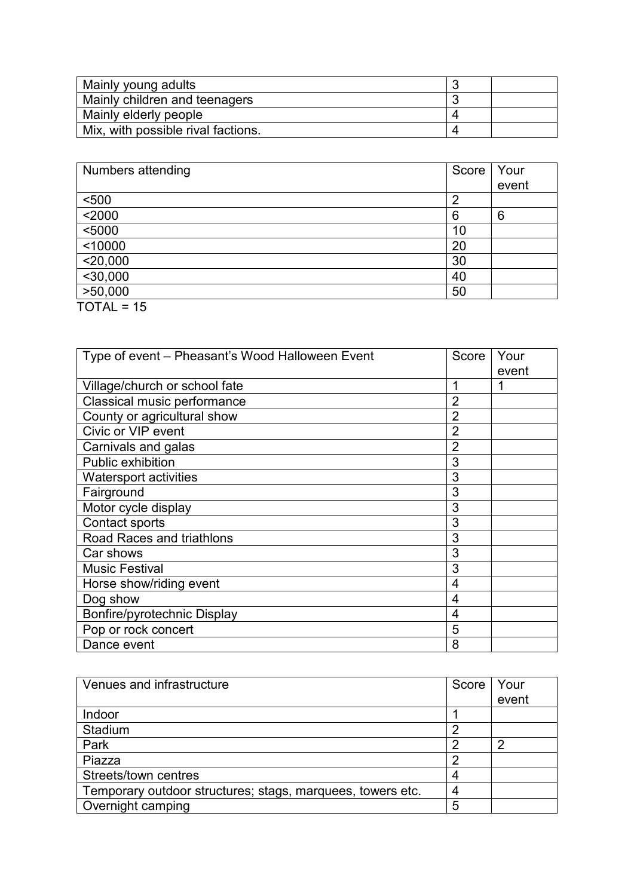| Mainly young adults                |  |
|------------------------------------|--|
| Mainly children and teenagers      |  |
| Mainly elderly people              |  |
| Mix, with possible rival factions. |  |

| Score          | Your  |
|----------------|-------|
|                | event |
| $\overline{2}$ |       |
| 6              | 6     |
| 10             |       |
| 20             |       |
| 30             |       |
| 40             |       |
| 50             |       |
|                |       |
|                |       |

| Type of event – Pheasant's Wood Halloween Event | Score          | Your<br>event |
|-------------------------------------------------|----------------|---------------|
| Village/church or school fate                   |                |               |
| Classical music performance                     | $\overline{2}$ |               |
| County or agricultural show                     | $\overline{2}$ |               |
| Civic or VIP event                              | 2              |               |
| Carnivals and galas                             | $\overline{2}$ |               |
| Public exhibition                               | 3              |               |
| <b>Watersport activities</b>                    | 3              |               |
| Fairground                                      | 3              |               |
| Motor cycle display                             | 3              |               |
| Contact sports                                  | 3              |               |
| <b>Road Races and triathlons</b>                | 3              |               |
| Car shows                                       | 3              |               |
| <b>Music Festival</b>                           | 3              |               |
| Horse show/riding event                         | 4              |               |
| Dog show                                        | 4              |               |
| Bonfire/pyrotechnic Display                     | 4              |               |
| Pop or rock concert                             | 5              |               |
| Dance event                                     | 8              |               |

| Venues and infrastructure                                  | Score | Your  |
|------------------------------------------------------------|-------|-------|
|                                                            |       | event |
| Indoor                                                     |       |       |
| Stadium                                                    |       |       |
| Park                                                       |       | ◠     |
| Piazza                                                     |       |       |
| Streets/town centres                                       |       |       |
| Temporary outdoor structures; stags, marquees, towers etc. |       |       |
| Overnight camping                                          | 5     |       |